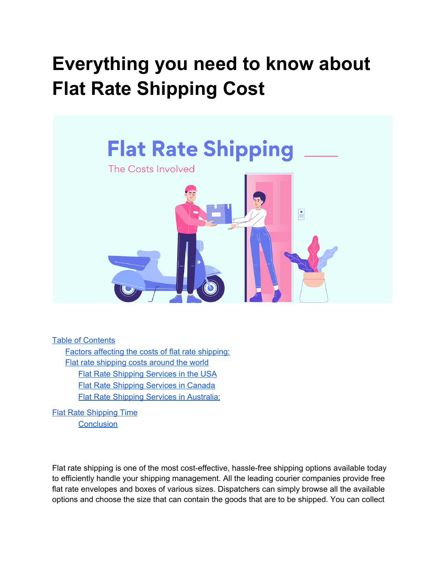# **Everything you need to know about Flat Rate Shipping Cost**



Table of Contents

Factors affecting the costs of flat rate [shipping:](#page-1-0) Flat rate [shipping](#page-2-0) costs around the world Flat Rate [Shipping](#page-2-1) Services in the USA Flat Rate [Shipping](#page-3-0) Services in Canada Flat Rate Shipping Services in [Australia:](#page-3-1)

Flat Rate [Shipping](#page-4-0) Time **[Conclusion](#page-5-0)** 

Flat rate shipping is one of the most cost-effective, hassle-free shipping options available today to efficiently handle your shipping management. All the leading courier companies provide free flat rate envelopes and boxes of various sizes. Dispatchers can simply browse all the available options and choose the size that can contain the goods that are to be shipped. You can collect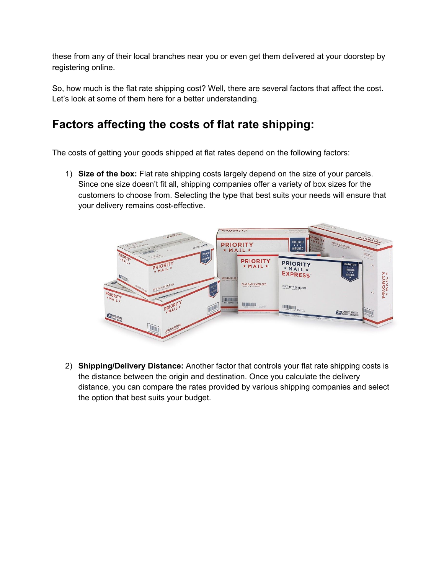these from any of their local branches near you or even get them delivered at your doorstep by registering online.

So, how much is the flat rate shipping cost? Well, there are several factors that affect the cost. Let's look at some of them here for a better understanding.

### <span id="page-1-0"></span>**Factors affecting the costs of flat rate shipping:**

The costs of getting your goods shipped at flat rates depend on the following factors:

1) **Size of the box:** Flat rate shipping costs largely depend on the size of your parcels. Since one size doesn't fit all, shipping companies offer a variety of box sizes for the customers to choose from. Selecting the type that best suits your needs will ensure that your delivery remains cost-effective.



2) **Shipping/Delivery Distance:** Another factor that controls your flat rate shipping costs is the distance between the origin and destination. Once you calculate the delivery distance, you can compare the rates provided by various shipping companies and select the option that best suits your budget.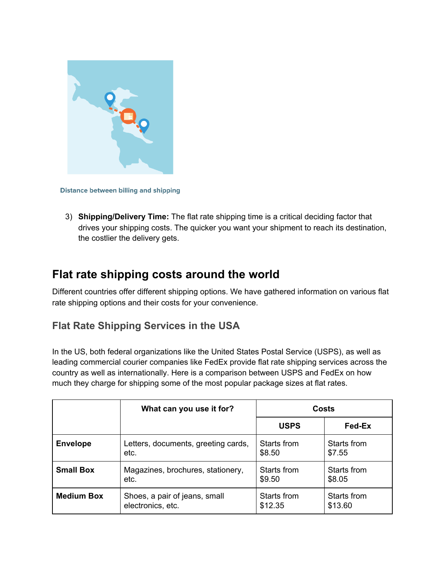

**Distance between billing and shipping** 

3) **Shipping/Delivery Time:** The flat rate shipping time is a critical deciding factor that drives your shipping costs. The quicker you want your shipment to reach its destination, the costlier the delivery gets.

#### <span id="page-2-0"></span>**Flat rate shipping costs around the world**

Different countries offer different shipping options. We have gathered information on various flat rate shipping options and their costs for your convenience.

#### <span id="page-2-1"></span>**Flat Rate Shipping Services in the USA**

In the US, both federal organizations like the United States Postal Service (USPS), as well as leading commercial courier companies like FedEx provide flat rate shipping services across the country as well as internationally. Here is a comparison between USPS and FedEx on how much they charge for shipping some of the most popular package sizes at flat rates.

|                   | What can you use it for?            | Costs       |             |
|-------------------|-------------------------------------|-------------|-------------|
|                   |                                     | <b>USPS</b> | Fed-Ex      |
| <b>Envelope</b>   | Letters, documents, greeting cards, | Starts from | Starts from |
|                   | etc.                                | \$8.50      | \$7.55      |
| <b>Small Box</b>  | Magazines, brochures, stationery,   | Starts from | Starts from |
|                   | etc.                                | \$9.50      | \$8.05      |
| <b>Medium Box</b> | Shoes, a pair of jeans, small       | Starts from | Starts from |
|                   | electronics, etc.                   | \$12.35     | \$13.60     |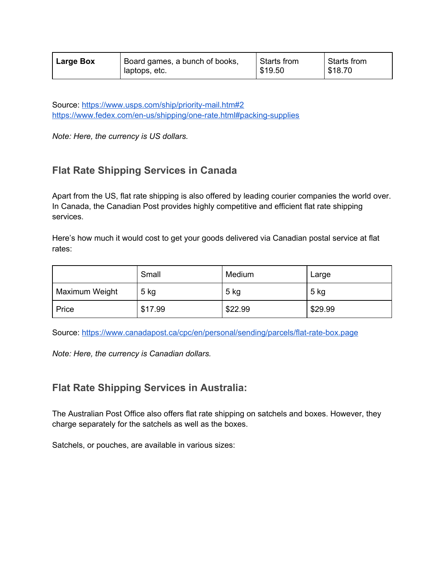| <b>Large Box</b> | Board games, a bunch of books, | Starts from | Starts from |
|------------------|--------------------------------|-------------|-------------|
|                  | laptops, etc.                  | \$19.50     | \$18.70     |

Source: <https://www.usps.com/ship/priority-mail.htm#2> <https://www.fedex.com/en-us/shipping/one-rate.html#packing-supplies>

*Note: Here, the currency is US dollars.*

#### <span id="page-3-0"></span>**Flat Rate Shipping Services in Canada**

Apart from the US, flat rate shipping is also offered by leading courier companies the world over. In Canada, the Canadian Post provides highly competitive and efficient flat rate shipping services.

Here's how much it would cost to get your goods delivered via Canadian postal service at flat rates:

|                | Small   | Medium  | Large   |
|----------------|---------|---------|---------|
| Maximum Weight | $5$ kg  | 5 kg    | 5 kg    |
| Price          | \$17.99 | \$22.99 | \$29.99 |

Source: <https://www.canadapost.ca/cpc/en/personal/sending/parcels/flat-rate-box.page>

*Note: Here, the currency is Canadian dollars.*

#### <span id="page-3-1"></span>**Flat Rate Shipping Services in Australia:**

The Australian Post Office also offers flat rate shipping on satchels and boxes. However, they charge separately for the satchels as well as the boxes.

Satchels, or pouches, are available in various sizes: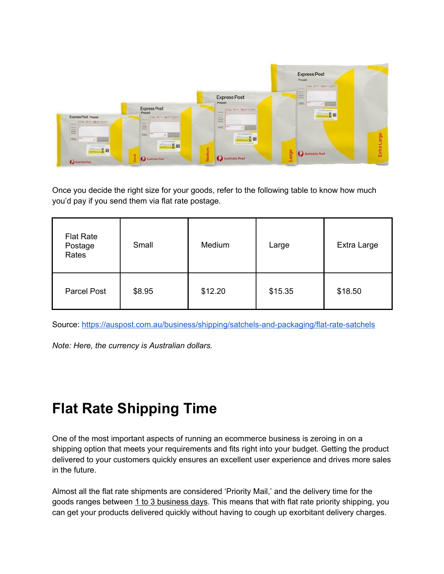

Once you decide the right size for your goods, refer to the following table to know how much you'd pay if you send them via flat rate postage.

| <b>Flat Rate</b><br>Postage<br>Rates | Small  | Medium  | Large   | Extra Large |
|--------------------------------------|--------|---------|---------|-------------|
| <b>Parcel Post</b>                   | \$8.95 | \$12.20 | \$15.35 | \$18.50     |

Source: <https://auspost.com.au/business/shipping/satchels-and-packaging/flat-rate-satchels>

*Note: Here, the currency is Australian dollars.*

## <span id="page-4-0"></span>**Flat Rate Shipping Time**

One of the most important aspects of running an ecommerce business is zeroing in on a shipping option that meets your requirements and fits right into your budget. Getting the product delivered to your customers quickly ensures an excellent user experience and drives more sales in the future.

Almost all the flat rate shipments are considered 'Priority Mail,' and the delivery time for the goods ranges between 1 to 3 business days. This means that with flat rate priority shipping, you can get your products delivered quickly without having to cough up exorbitant delivery charges.